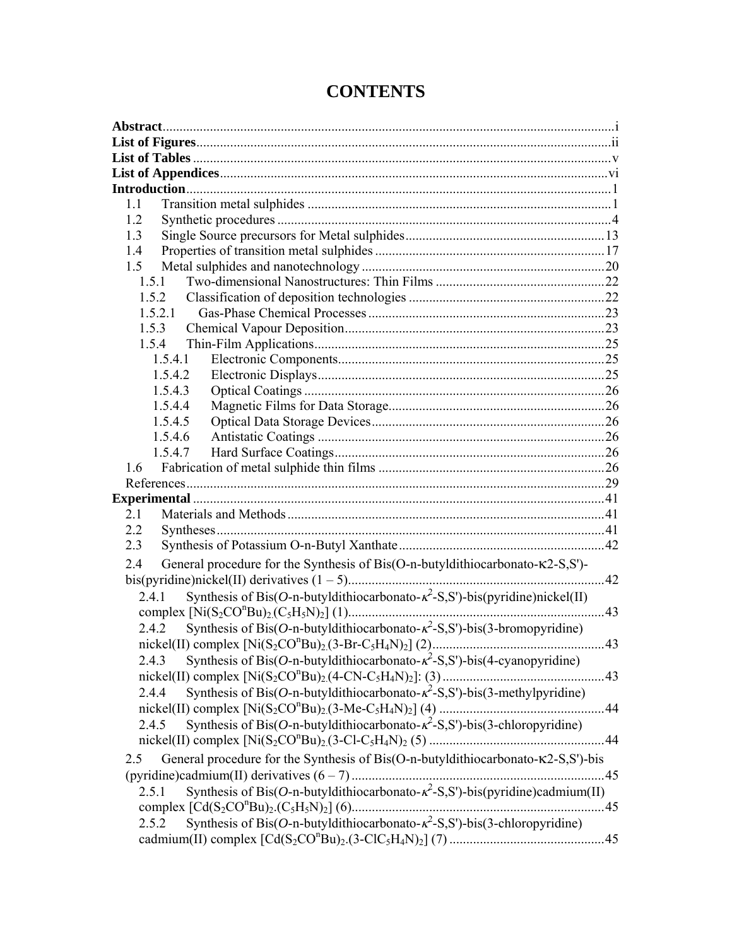| 1.1                                                                                            |     |
|------------------------------------------------------------------------------------------------|-----|
| 1.2                                                                                            |     |
| 1.3                                                                                            |     |
| 1.4                                                                                            |     |
| 1.5                                                                                            |     |
| 1.5.1                                                                                          |     |
| 1.5.2                                                                                          |     |
| 1.5.2.1                                                                                        |     |
| 1.5.3                                                                                          |     |
| 1.5.4                                                                                          |     |
| 1.5.4.1                                                                                        |     |
| 1.5.4.2                                                                                        |     |
| 1.5.4.3                                                                                        |     |
| 1.5.4.4                                                                                        |     |
| 1.5.4.5                                                                                        |     |
| 1.5.4.6                                                                                        |     |
| 1.5.4.7                                                                                        |     |
| 1.6                                                                                            |     |
|                                                                                                |     |
|                                                                                                |     |
| 2.1                                                                                            |     |
| 2.2                                                                                            |     |
| 2.3                                                                                            |     |
| General procedure for the Synthesis of Bis(O-n-butyldithiocarbonato-K2-S,S')-<br>2.4           |     |
|                                                                                                | .42 |
| Synthesis of Bis(O-n-butyldithiocarbonato- $\kappa^2$ -S,S')-bis(pyridine)nickel(II)<br>2.4.1  |     |
|                                                                                                | 43  |
| Synthesis of Bis(O-n-butyldithiocarbonato- $\kappa^2$ -S,S')-bis(3-bromopyridine)<br>2.4.2     |     |
|                                                                                                |     |
| Synthesis of Bis(O-n-butyldithiocarbonato- $\kappa^2$ -S,S')-bis(4-cyanopyridine)<br>2.4.3     |     |
|                                                                                                |     |
| Synthesis of Bis(O-n-butyldithiocarbonato- $\kappa^2$ -S,S')-bis(3-methylpyridine)<br>2.4.4    |     |
|                                                                                                |     |
| Synthesis of Bis(O-n-butyldithiocarbonato- $\kappa^2$ -S,S')-bis(3-chloropyridine)<br>2.4.5    |     |
|                                                                                                |     |
| General procedure for the Synthesis of Bis(O-n-butyldithiocarbonato-K2-S,S')-bis<br>2.5        |     |
|                                                                                                |     |
| Synthesis of Bis(O-n-butyldithiocarbonato- $\kappa^2$ -S,S')-bis(pyridine)cadmium(II)<br>2.5.1 |     |
|                                                                                                |     |
|                                                                                                |     |
| Synthesis of Bis(O-n-butyldithiocarbonato- $\kappa^2$ -S,S')-bis(3-chloropyridine)<br>2.5.2    |     |
|                                                                                                |     |

## **CONTENTS**